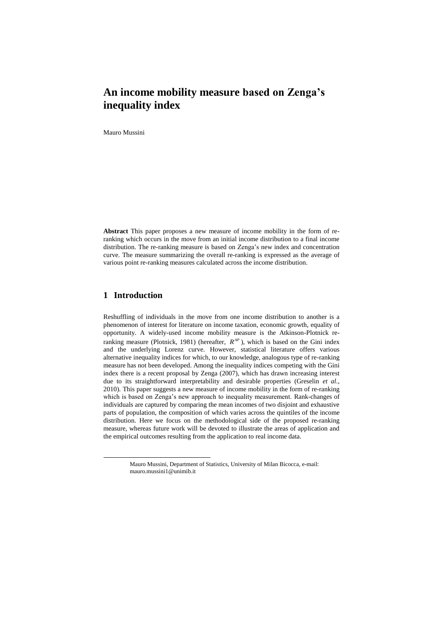# **An income mobility measure based on Zenga's inequality index**

Mauro Mussini

**Abstract** This paper proposes a new measure of income mobility in the form of reranking which occurs in the move from an initial income distribution to a final income distribution. The re-ranking measure is based on Zenga's new index and concentration curve. The measure summarizing the overall re-ranking is expressed as the average of various point re-ranking measures calculated across the income distribution.

### **1 Introduction**

l

Reshuffling of individuals in the move from one income distribution to another is a phenomenon of interest for literature on income taxation, economic growth, equality of opportunity. A widely-used income mobility measure is the Atkinson-Plotnick reranking measure (Plotnick, 1981) (hereafter,  $R^{AP}$ ), which is based on the Gini index and the underlying Lorenz curve. However, statistical literature offers various alternative inequality indices for which, to our knowledge, analogous type of re-ranking measure has not been developed. Among the inequality indices competing with the Gini index there is a recent proposal by Zenga (2007), which has drawn increasing interest due to its straightforward interpretability and desirable properties (Greselin *et al*., 2010). This paper suggests a new measure of income mobility in the form of re-ranking which is based on Zenga's new approach to inequality measurement. Rank-changes of individuals are captured by comparing the mean incomes of two disjoint and exhaustive parts of population, the composition of which varies across the quintiles of the income distribution. Here we focus on the methodological side of the proposed re-ranking measure, whereas future work will be devoted to illustrate the areas of application and the empirical outcomes resulting from the application to real income data.

Mauro Mussini, Department of Statistics, University of Milan Bicocca, e-mail: mauro.mussini1@unimib.it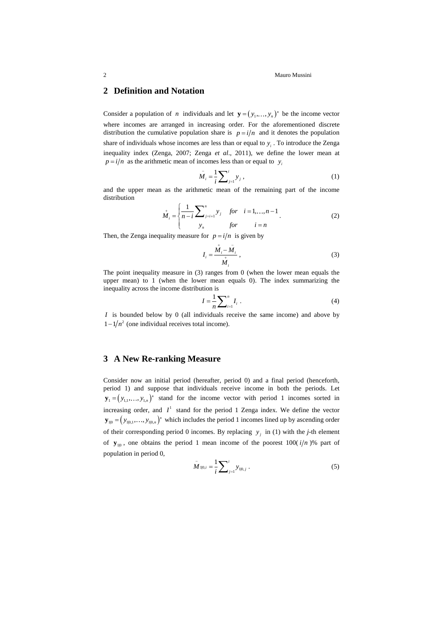# **2 Definition and Notation**

Consider a population of *n* individuals and let  $\mathbf{y} = (y_1, \dots, y_n)$  be the income vector where incomes are arranged in increasing order. For the aforementioned discrete distribution the cumulative population share is  $p = i/n$  and it denotes the population share of individuals whose incomes are less than or equal to  $y_i$ . To introduce the Zenga inequality index (Zenga, 2007; Zenga *et al*., 2011), we define the lower mean at  $p = i/n$  as the arithmetic mean of incomes less than or equal to  $y_i$ 

$$
\bar{M}_i = \frac{1}{i} \sum_{j=1}^i y_j , \qquad (1)
$$

and the upper mean as the arithmetic mean of the remaining part of the income distribution

$$
\stackrel{\rightarrow}{M}_{i} = \begin{cases}\n\frac{1}{n-i} \sum_{j=i+1}^{n} y_{j} & \text{for} \quad i = 1, ..., n-1 \\
y_{n} & \text{for} \quad i = n\n\end{cases} \tag{2}
$$

Then, the Zenga inequality measure for  $p = i/n$  is given by

$$
I_i = \frac{\stackrel{i}{M}_i - \stackrel{\_}{M}_i}{\stackrel{i}{M}_i},\tag{3}
$$

The point inequality measure in (3) ranges from 0 (when the lower mean equals the upper mean) to 1 (when the lower mean equals 0). The index summarizing the inequality across the income distribution is

$$
I = \frac{1}{n} \sum_{i=1}^{n} I_i \tag{4}
$$

*I* is bounded below by 0 (all individuals receive the same income) and above by  $1 - 1/n<sup>2</sup>$  (one individual receives total income).

# **3 A New Re-ranking Measure**

Consider now an initial period (hereafter, period 0) and a final period (henceforth, period 1) and suppose that individuals receive income in both the periods. Let  $\mathbf{y}_1 = (y_{1,1},..., y_{1,n})'$  stand for the income vector with period 1 incomes sorted in increasing order, and  $I^1$  stand for the period 1 Zenga index. We define the vector  $\mathbf{y}_{10} = (y_{10,1},..., y_{10,n})'$  which includes the period 1 incomes lined up by ascending order of their corresponding period 0 incomes. By replacing  $y_j$  in (1) with the *j*-th element of  $y_{10}$ , one obtains the period 1 mean income of the poorest 100( $i/n$ )% part of population in period 0,

$$
\overline{M}_{1|0,i} = \frac{1}{i} \sum_{j=1}^{i} y_{1|0,j} .
$$
 (5)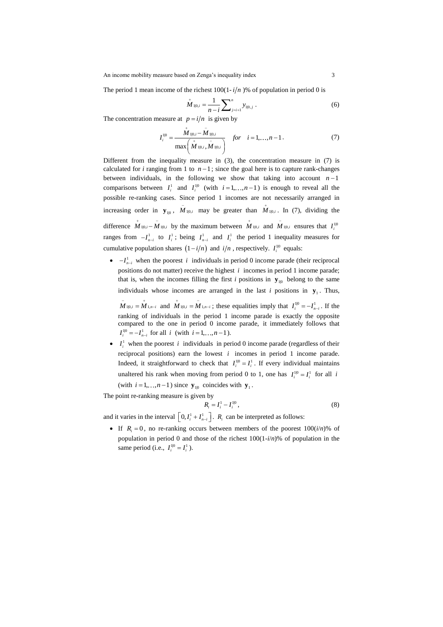The period 1 mean income of the richest  $100(1-i/n)$ % of population in period 0 is

$$
M_{1|0,i} = \frac{1}{n-i} \sum_{j=i+1}^{n} y_{1|0,j} .
$$
 (6)

The concentration measure at  $p = i/n$  is given by

$$
I_i^{1|0} = \frac{\stackrel{\cdot}{M}_{1|0,i} - \stackrel{\cdot}{M}_{1|0,i}}{\max\left(\stackrel{\cdot}{M}_{1|0,i}, \stackrel{\cdot}{M}_{1|0,i}\right)} \quad \text{for} \quad i = 1,\dots, n-1.
$$
 (7)

Different from the inequality measure in (3), the concentration measure in (7) is calculated for *i* ranging from 1 to  $n-1$ ; since the goal here is to capture rank-changes between individuals, in the following we show that taking into account  $n-1$ comparisons between  $I_i^1$  and  $I_i^{10}$  (with  $i=1,...,n-1$ ) is enough to reveal all the possible re-ranking cases. Since period 1 incomes are not necessarily arranged in increasing order in  $\mathbf{y}_{10}$ ,  $\overline{M}_{1|0,i}$  may be greater than  $\overline{M}_{1|0,i}$ . In (7), dividing the difference  $\overrightarrow{M}_{1|0,i} - \overrightarrow{M}_{1|0,i}$  by the maximum between  $\overrightarrow{M}_{1|0,i}$  and  $\overrightarrow{M}_{1|0,i}$  ensures that  $I_i^{1|0,i}$ ranges from  $-I_{n-i}^1$  to  $I_i^1$ ; being  $I_{n-i}^1$  and  $I_i^1$  the period 1 inequality measures for cumulative population shares  $(1 - i/n)$  and  $i/n$ , respectively.  $I_i^{10}$  equals:

 $\bullet$   $-I_{n-i}^1$  when the poorest *i* individuals in period 0 income parade (their reciprocal positions do not matter) receive the highest  $i$  incomes in period 1 income parade; that is, when the incomes filling the first *i* positions in  $y_{10}$  belong to the same individuals whose incomes are arranged in the last *i* positions in  $y_1$ . Thus,

 $\overline{M}_{1|0,i} = \overline{M}_{1,n-i}$  and  $\overline{M}_{1|0,i} = \overline{M}_{1,n-i}$ ; these equalities imply that  $I_i^{1|0} = -I_{n-i}^1$ . If the ranking of individuals in the period 1 income parade is exactly the opposite compared to the one in period 0 income parade, it immediately follows that  $I_i^{1|0} = -I_{n-i}^1$  for all *i* (with  $i = 1, ..., n-1$ ).

•  $I_i^1$  when the poorest *i* individuals in period 0 income parade (regardless of their reciprocal positions) earn the lowest  $i$  incomes in period 1 income parade. Indeed, it straightforward to check that  $I_i^{10} = I_i^1$ . If every individual maintains unaltered his rank when moving from period 0 to 1, one has  $I_i^{10} = I_i^1$  for all *i* (with  $i = 1, ..., n-1$ ) since  $\mathbf{y}_{10}$  coincides with  $\mathbf{y}_1$ .

The point re-ranking measure is given by

$$
R_i = I_i^1 - I_i^{10}, \t\t(8)
$$

and it varies in the interval  $\left[0, I_i^1 + I_{n-i}^1\right]$ .  $R_i$  can be interpreted as follows:

If  $R_i = 0$ , no re-ranking occurs between members of the poorest  $100(i/n)$ % of population in period 0 and those of the richest 100(1-*i*/*n*)% of population in the same period (i.e.,  $I_i^{1|0} = I_i^1$ ).